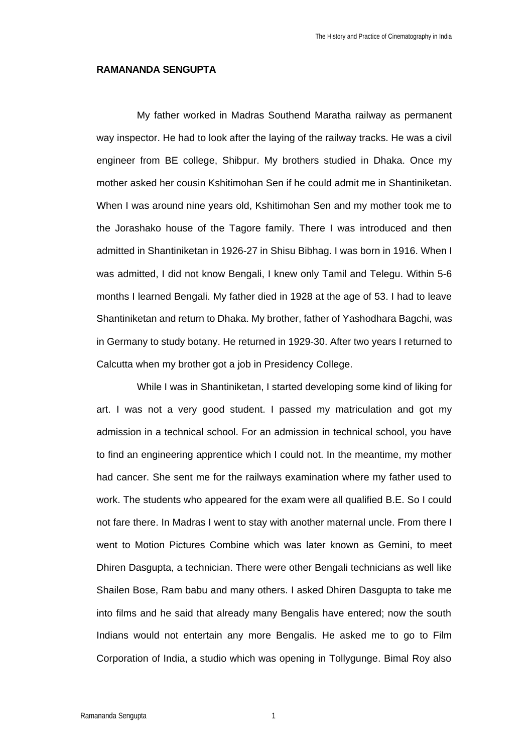## **RAMANANDA SENGUPTA**

My father worked in Madras Southend Maratha railway as permanent way inspector. He had to look after the laying of the railway tracks. He was a civil engineer from BE college, Shibpur. My brothers studied in Dhaka. Once my mother asked her cousin Kshitimohan Sen if he could admit me in Shantiniketan. When I was around nine years old, Kshitimohan Sen and my mother took me to the Jorashako house of the Tagore family. There I was introduced and then admitted in Shantiniketan in 1926-27 in Shisu Bibhag. I was born in 1916. When I was admitted, I did not know Bengali, I knew only Tamil and Telegu. Within 5-6 months I learned Bengali. My father died in 1928 at the age of 53. I had to leave Shantiniketan and return to Dhaka. My brother, father of Yashodhara Bagchi, was in Germany to study botany. He returned in 1929-30. After two years I returned to Calcutta when my brother got a job in Presidency College.

While I was in Shantiniketan, I started developing some kind of liking for art. I was not a very good student. I passed my matriculation and got my admission in a technical school. For an admission in technical school, you have to find an engineering apprentice which I could not. In the meantime, my mother had cancer. She sent me for the railways examination where my father used to work. The students who appeared for the exam were all qualified B.E. So I could not fare there. In Madras I went to stay with another maternal uncle. From there I went to Motion Pictures Combine which was later known as Gemini, to meet Dhiren Dasgupta, a technician. There were other Bengali technicians as well like Shailen Bose, Ram babu and many others. I asked Dhiren Dasgupta to take me into films and he said that already many Bengalis have entered; now the south Indians would not entertain any more Bengalis. He asked me to go to Film Corporation of India, a studio which was opening in Tollygunge. Bimal Roy also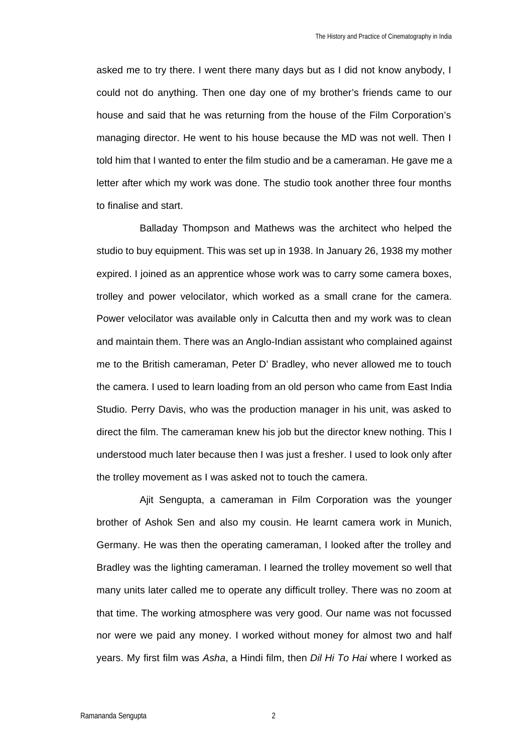asked me to try there. I went there many days but as I did not know anybody, I could not do anything. Then one day one of my brother's friends came to our house and said that he was returning from the house of the Film Corporation's managing director. He went to his house because the MD was not well. Then I told him that I wanted to enter the film studio and be a cameraman. He gave me a letter after which my work was done. The studio took another three four months to finalise and start.

Balladay Thompson and Mathews was the architect who helped the studio to buy equipment. This was set up in 1938. In January 26, 1938 my mother expired. I joined as an apprentice whose work was to carry some camera boxes, trolley and power velocilator, which worked as a small crane for the camera. Power velocilator was available only in Calcutta then and my work was to clean and maintain them. There was an Anglo-Indian assistant who complained against me to the British cameraman, Peter D' Bradley, who never allowed me to touch the camera. I used to learn loading from an old person who came from East India Studio. Perry Davis, who was the production manager in his unit, was asked to direct the film. The cameraman knew his job but the director knew nothing. This I understood much later because then I was just a fresher. I used to look only after the trolley movement as I was asked not to touch the camera.

Ajit Sengupta, a cameraman in Film Corporation was the younger brother of Ashok Sen and also my cousin. He learnt camera work in Munich, Germany. He was then the operating cameraman, I looked after the trolley and Bradley was the lighting cameraman. I learned the trolley movement so well that many units later called me to operate any difficult trolley. There was no zoom at that time. The working atmosphere was very good. Our name was not focussed nor were we paid any money. I worked without money for almost two and half years. My first film was *Asha*, a Hindi film, then *Dil Hi To Hai* where I worked as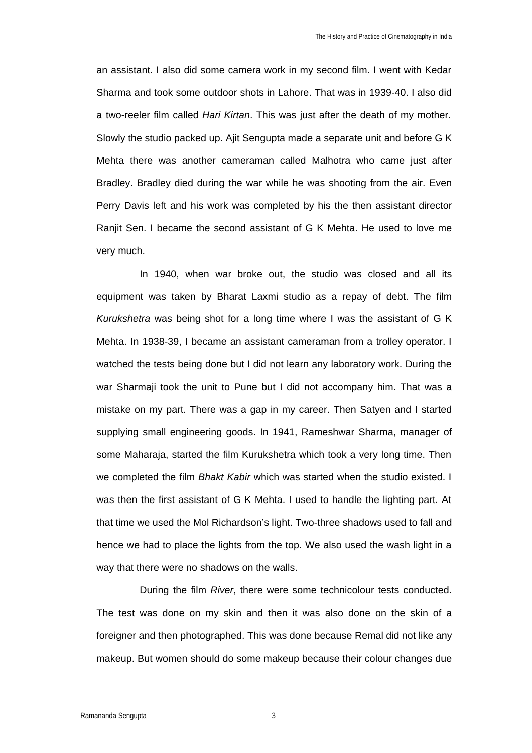an assistant. I also did some camera work in my second film. I went with Kedar Sharma and took some outdoor shots in Lahore. That was in 1939-40. I also did a two-reeler film called *Hari Kirtan*. This was just after the death of my mother. Slowly the studio packed up. Ajit Sengupta made a separate unit and before G K Mehta there was another cameraman called Malhotra who came just after Bradley. Bradley died during the war while he was shooting from the air. Even Perry Davis left and his work was completed by his the then assistant director Ranjit Sen. I became the second assistant of G K Mehta. He used to love me very much.

In 1940, when war broke out, the studio was closed and all its equipment was taken by Bharat Laxmi studio as a repay of debt. The film *Kurukshetra* was being shot for a long time where I was the assistant of G K Mehta. In 1938-39, I became an assistant cameraman from a trolley operator. I watched the tests being done but I did not learn any laboratory work. During the war Sharmaji took the unit to Pune but I did not accompany him. That was a mistake on my part. There was a gap in my career. Then Satyen and I started supplying small engineering goods. In 1941, Rameshwar Sharma, manager of some Maharaja, started the film Kurukshetra which took a very long time. Then we completed the film *Bhakt Kabir* which was started when the studio existed. I was then the first assistant of G K Mehta. I used to handle the lighting part. At that time we used the Mol Richardson's light. Two-three shadows used to fall and hence we had to place the lights from the top. We also used the wash light in a way that there were no shadows on the walls.

During the film *River*, there were some technicolour tests conducted. The test was done on my skin and then it was also done on the skin of a foreigner and then photographed. This was done because Remal did not like any makeup. But women should do some makeup because their colour changes due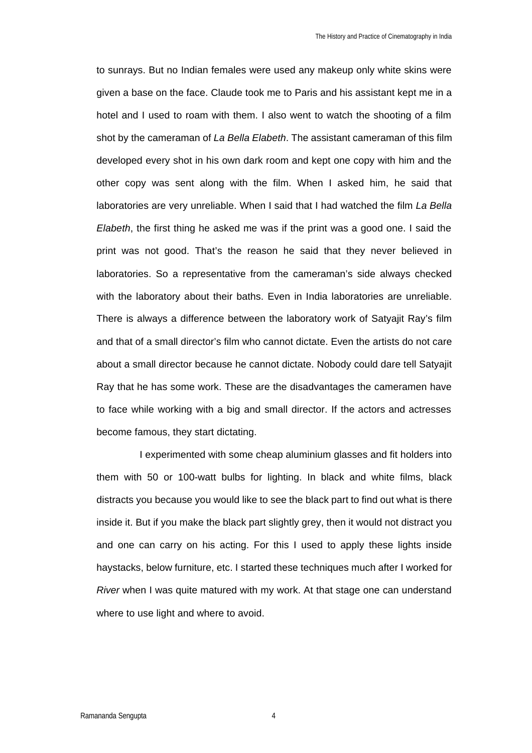to sunrays. But no Indian females were used any makeup only white skins were given a base on the face. Claude took me to Paris and his assistant kept me in a hotel and I used to roam with them. I also went to watch the shooting of a film shot by the cameraman of *La Bella Elabeth*. The assistant cameraman of this film developed every shot in his own dark room and kept one copy with him and the other copy was sent along with the film. When I asked him, he said that laboratories are very unreliable. When I said that I had watched the film *La Bella Elabeth*, the first thing he asked me was if the print was a good one. I said the print was not good. That's the reason he said that they never believed in laboratories. So a representative from the cameraman's side always checked with the laboratory about their baths. Even in India laboratories are unreliable. There is always a difference between the laboratory work of Satyajit Ray's film and that of a small director's film who cannot dictate. Even the artists do not care about a small director because he cannot dictate. Nobody could dare tell Satyajit Ray that he has some work. These are the disadvantages the cameramen have to face while working with a big and small director. If the actors and actresses become famous, they start dictating.

I experimented with some cheap aluminium glasses and fit holders into them with 50 or 100-watt bulbs for lighting. In black and white films, black distracts you because you would like to see the black part to find out what is there inside it. But if you make the black part slightly grey, then it would not distract you and one can carry on his acting. For this I used to apply these lights inside haystacks, below furniture, etc. I started these techniques much after I worked for *River* when I was quite matured with my work. At that stage one can understand where to use light and where to avoid.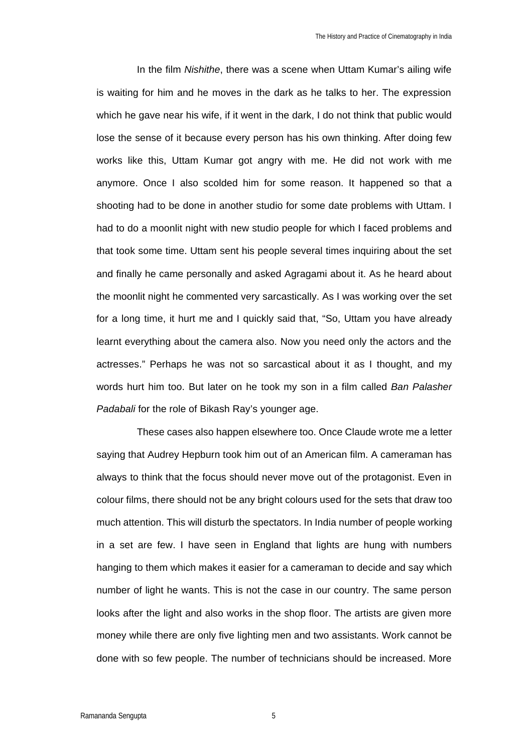In the film *Nishithe*, there was a scene when Uttam Kumar's ailing wife is waiting for him and he moves in the dark as he talks to her. The expression which he gave near his wife, if it went in the dark, I do not think that public would lose the sense of it because every person has his own thinking. After doing few works like this, Uttam Kumar got angry with me. He did not work with me anymore. Once I also scolded him for some reason. It happened so that a shooting had to be done in another studio for some date problems with Uttam. I had to do a moonlit night with new studio people for which I faced problems and that took some time. Uttam sent his people several times inquiring about the set and finally he came personally and asked Agragami about it. As he heard about the moonlit night he commented very sarcastically. As I was working over the set for a long time, it hurt me and I quickly said that, "So, Uttam you have already learnt everything about the camera also. Now you need only the actors and the actresses." Perhaps he was not so sarcastical about it as I thought, and my words hurt him too. But later on he took my son in a film called *Ban Palasher Padabali* for the role of Bikash Ray's younger age.

These cases also happen elsewhere too. Once Claude wrote me a letter saying that Audrey Hepburn took him out of an American film. A cameraman has always to think that the focus should never move out of the protagonist. Even in colour films, there should not be any bright colours used for the sets that draw too much attention. This will disturb the spectators. In India number of people working in a set are few. I have seen in England that lights are hung with numbers hanging to them which makes it easier for a cameraman to decide and say which number of light he wants. This is not the case in our country. The same person looks after the light and also works in the shop floor. The artists are given more money while there are only five lighting men and two assistants. Work cannot be done with so few people. The number of technicians should be increased. More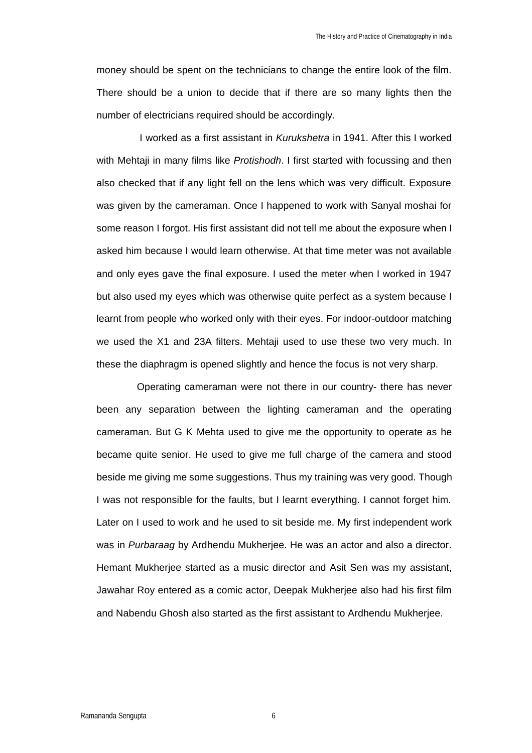money should be spent on the technicians to change the entire look of the film. There should be a union to decide that if there are so many lights then the number of electricians required should be accordingly.

I worked as a first assistant in *Kurukshetra* in 1941. After this I worked with Mehtaji in many films like *Protishodh*. I first started with focussing and then also checked that if any light fell on the lens which was very difficult. Exposure was given by the cameraman. Once I happened to work with Sanyal moshai for some reason I forgot. His first assistant did not tell me about the exposure when I asked him because I would learn otherwise. At that time meter was not available and only eyes gave the final exposure. I used the meter when I worked in 1947 but also used my eyes which was otherwise quite perfect as a system because I learnt from people who worked only with their eyes. For indoor-outdoor matching we used the X1 and 23A filters. Mehtaji used to use these two very much. In these the diaphragm is opened slightly and hence the focus is not very sharp.

Operating cameraman were not there in our country- there has never been any separation between the lighting cameraman and the operating cameraman. But G K Mehta used to give me the opportunity to operate as he became quite senior. He used to give me full charge of the camera and stood beside me giving me some suggestions. Thus my training was very good. Though I was not responsible for the faults, but I learnt everything. I cannot forget him. Later on I used to work and he used to sit beside me. My first independent work was in *Purbaraag* by Ardhendu Mukherjee. He was an actor and also a director. Hemant Mukherjee started as a music director and Asit Sen was my assistant, Jawahar Roy entered as a comic actor, Deepak Mukherjee also had his first film and Nabendu Ghosh also started as the first assistant to Ardhendu Mukherjee.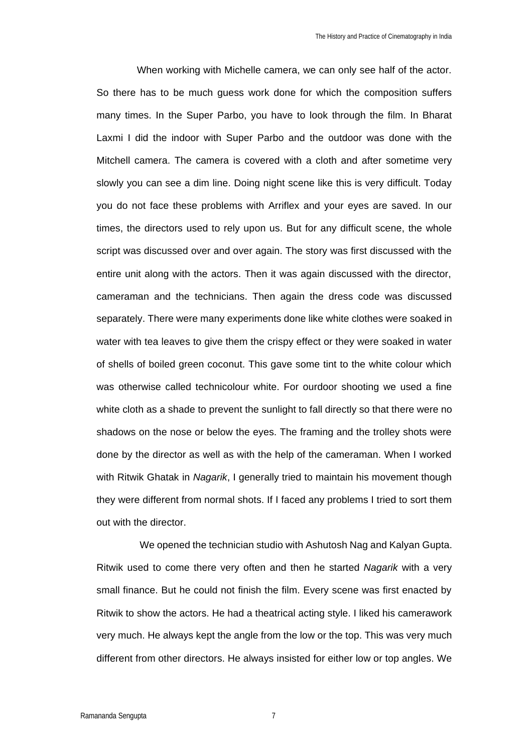When working with Michelle camera, we can only see half of the actor. So there has to be much guess work done for which the composition suffers many times. In the Super Parbo, you have to look through the film. In Bharat Laxmi I did the indoor with Super Parbo and the outdoor was done with the Mitchell camera. The camera is covered with a cloth and after sometime very slowly you can see a dim line. Doing night scene like this is very difficult. Today you do not face these problems with Arriflex and your eyes are saved. In our times, the directors used to rely upon us. But for any difficult scene, the whole script was discussed over and over again. The story was first discussed with the entire unit along with the actors. Then it was again discussed with the director, cameraman and the technicians. Then again the dress code was discussed separately. There were many experiments done like white clothes were soaked in water with tea leaves to give them the crispy effect or they were soaked in water of shells of boiled green coconut. This gave some tint to the white colour which was otherwise called technicolour white. For ourdoor shooting we used a fine white cloth as a shade to prevent the sunlight to fall directly so that there were no shadows on the nose or below the eyes. The framing and the trolley shots were done by the director as well as with the help of the cameraman. When I worked with Ritwik Ghatak in *Nagarik*, I generally tried to maintain his movement though they were different from normal shots. If I faced any problems I tried to sort them out with the director.

We opened the technician studio with Ashutosh Nag and Kalyan Gupta. Ritwik used to come there very often and then he started *Nagarik* with a very small finance. But he could not finish the film. Every scene was first enacted by Ritwik to show the actors. He had a theatrical acting style. I liked his camerawork very much. He always kept the angle from the low or the top. This was very much different from other directors. He always insisted for either low or top angles. We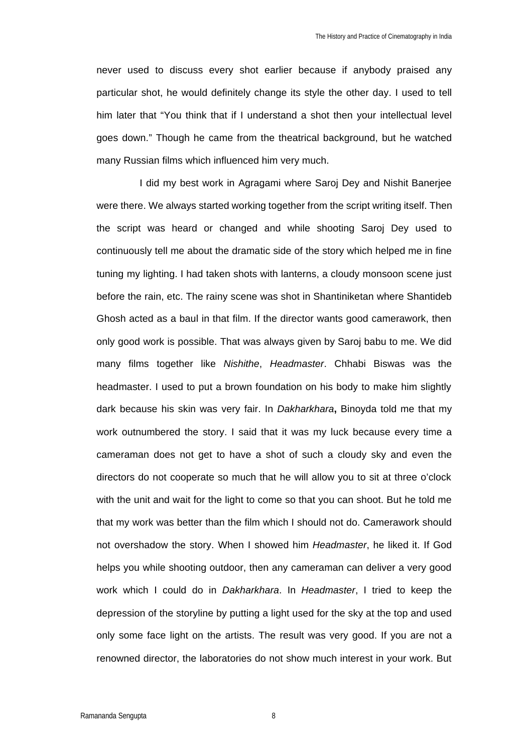never used to discuss every shot earlier because if anybody praised any particular shot, he would definitely change its style the other day. I used to tell him later that "You think that if I understand a shot then your intellectual level goes down." Though he came from the theatrical background, but he watched many Russian films which influenced him very much.

I did my best work in Agragami where Saroj Dey and Nishit Banerjee were there. We always started working together from the script writing itself. Then the script was heard or changed and while shooting Saroj Dey used to continuously tell me about the dramatic side of the story which helped me in fine tuning my lighting. I had taken shots with lanterns, a cloudy monsoon scene just before the rain, etc. The rainy scene was shot in Shantiniketan where Shantideb Ghosh acted as a baul in that film. If the director wants good camerawork, then only good work is possible. That was always given by Saroj babu to me. We did many films together like *Nishithe*, *Headmaster*. Chhabi Biswas was the headmaster. I used to put a brown foundation on his body to make him slightly dark because his skin was very fair. In *Dakharkhara***,** Binoyda told me that my work outnumbered the story. I said that it was my luck because every time a cameraman does not get to have a shot of such a cloudy sky and even the directors do not cooperate so much that he will allow you to sit at three o'clock with the unit and wait for the light to come so that you can shoot. But he told me that my work was better than the film which I should not do. Camerawork should not overshadow the story. When I showed him *Headmaster*, he liked it. If God helps you while shooting outdoor, then any cameraman can deliver a very good work which I could do in *Dakharkhara*. In *Headmaster*, I tried to keep the depression of the storyline by putting a light used for the sky at the top and used only some face light on the artists. The result was very good. If you are not a renowned director, the laboratories do not show much interest in your work. But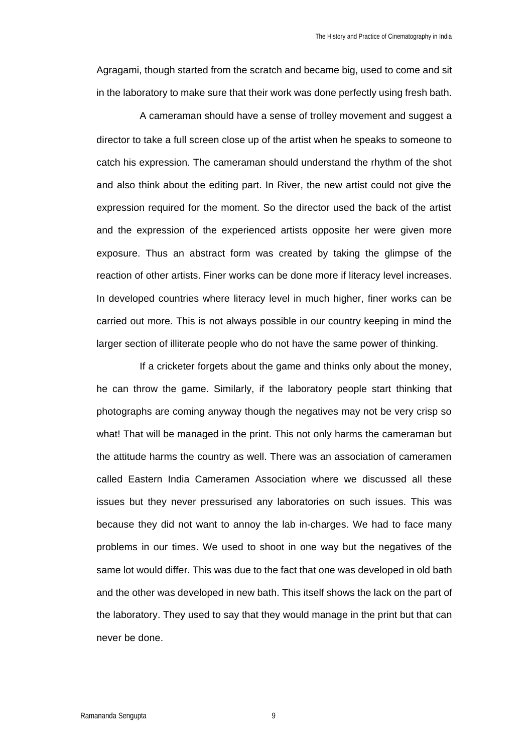Agragami, though started from the scratch and became big, used to come and sit in the laboratory to make sure that their work was done perfectly using fresh bath.

A cameraman should have a sense of trolley movement and suggest a director to take a full screen close up of the artist when he speaks to someone to catch his expression. The cameraman should understand the rhythm of the shot and also think about the editing part. In River, the new artist could not give the expression required for the moment. So the director used the back of the artist and the expression of the experienced artists opposite her were given more exposure. Thus an abstract form was created by taking the glimpse of the reaction of other artists. Finer works can be done more if literacy level increases. In developed countries where literacy level in much higher, finer works can be carried out more. This is not always possible in our country keeping in mind the larger section of illiterate people who do not have the same power of thinking.

If a cricketer forgets about the game and thinks only about the money, he can throw the game. Similarly, if the laboratory people start thinking that photographs are coming anyway though the negatives may not be very crisp so what! That will be managed in the print. This not only harms the cameraman but the attitude harms the country as well. There was an association of cameramen called Eastern India Cameramen Association where we discussed all these issues but they never pressurised any laboratories on such issues. This was because they did not want to annoy the lab in-charges. We had to face many problems in our times. We used to shoot in one way but the negatives of the same lot would differ. This was due to the fact that one was developed in old bath and the other was developed in new bath. This itself shows the lack on the part of the laboratory. They used to say that they would manage in the print but that can never be done.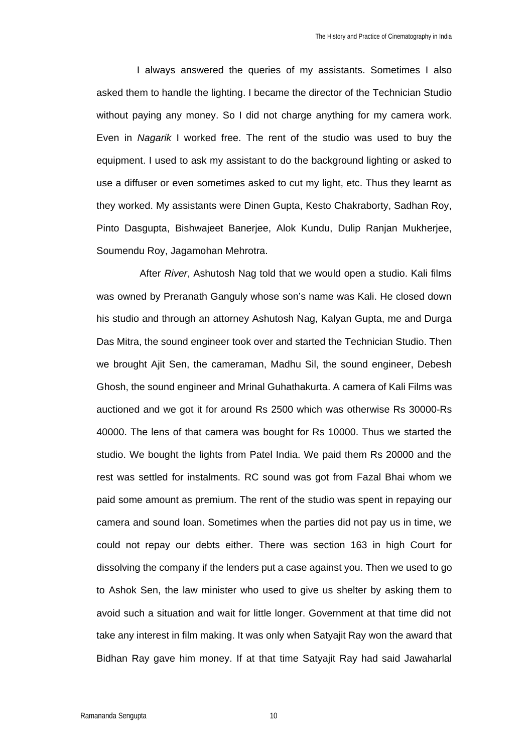I always answered the queries of my assistants. Sometimes I also asked them to handle the lighting. I became the director of the Technician Studio without paying any money. So I did not charge anything for my camera work. Even in *Nagarik* I worked free. The rent of the studio was used to buy the equipment. I used to ask my assistant to do the background lighting or asked to use a diffuser or even sometimes asked to cut my light, etc. Thus they learnt as they worked. My assistants were Dinen Gupta, Kesto Chakraborty, Sadhan Roy, Pinto Dasgupta, Bishwajeet Banerjee, Alok Kundu, Dulip Ranjan Mukherjee, Soumendu Roy, Jagamohan Mehrotra.

After *River*, Ashutosh Nag told that we would open a studio. Kali films was owned by Preranath Ganguly whose son's name was Kali. He closed down his studio and through an attorney Ashutosh Nag, Kalyan Gupta, me and Durga Das Mitra, the sound engineer took over and started the Technician Studio. Then we brought Ajit Sen, the cameraman, Madhu Sil, the sound engineer, Debesh Ghosh, the sound engineer and Mrinal Guhathakurta. A camera of Kali Films was auctioned and we got it for around Rs 2500 which was otherwise Rs 30000-Rs 40000. The lens of that camera was bought for Rs 10000. Thus we started the studio. We bought the lights from Patel India. We paid them Rs 20000 and the rest was settled for instalments. RC sound was got from Fazal Bhai whom we paid some amount as premium. The rent of the studio was spent in repaying our camera and sound loan. Sometimes when the parties did not pay us in time, we could not repay our debts either. There was section 163 in high Court for dissolving the company if the lenders put a case against you. Then we used to go to Ashok Sen, the law minister who used to give us shelter by asking them to avoid such a situation and wait for little longer. Government at that time did not take any interest in film making. It was only when Satyajit Ray won the award that Bidhan Ray gave him money. If at that time Satyajit Ray had said Jawaharlal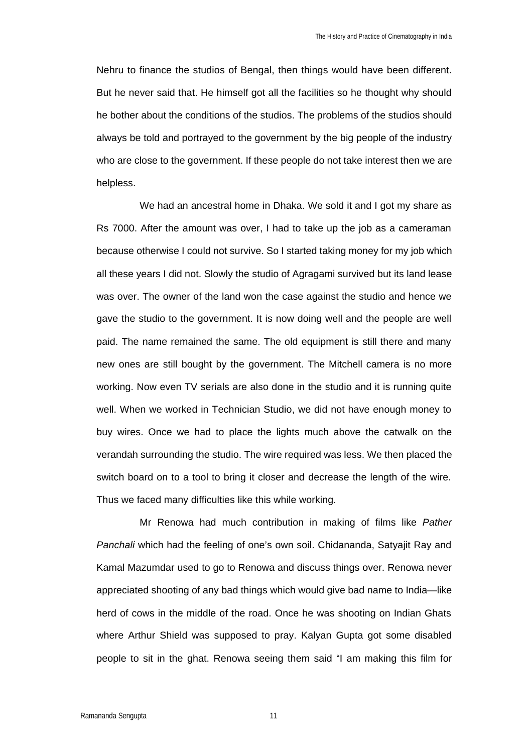Nehru to finance the studios of Bengal, then things would have been different. But he never said that. He himself got all the facilities so he thought why should he bother about the conditions of the studios. The problems of the studios should always be told and portrayed to the government by the big people of the industry who are close to the government. If these people do not take interest then we are helpless.

We had an ancestral home in Dhaka. We sold it and I got my share as Rs 7000. After the amount was over, I had to take up the job as a cameraman because otherwise I could not survive. So I started taking money for my job which all these years I did not. Slowly the studio of Agragami survived but its land lease was over. The owner of the land won the case against the studio and hence we gave the studio to the government. It is now doing well and the people are well paid. The name remained the same. The old equipment is still there and many new ones are still bought by the government. The Mitchell camera is no more working. Now even TV serials are also done in the studio and it is running quite well. When we worked in Technician Studio, we did not have enough money to buy wires. Once we had to place the lights much above the catwalk on the verandah surrounding the studio. The wire required was less. We then placed the switch board on to a tool to bring it closer and decrease the length of the wire. Thus we faced many difficulties like this while working.

Mr Renowa had much contribution in making of films like *Pather Panchali* which had the feeling of one's own soil. Chidananda, Satyajit Ray and Kamal Mazumdar used to go to Renowa and discuss things over. Renowa never appreciated shooting of any bad things which would give bad name to India—like herd of cows in the middle of the road. Once he was shooting on Indian Ghats where Arthur Shield was supposed to pray. Kalyan Gupta got some disabled people to sit in the ghat. Renowa seeing them said "I am making this film for